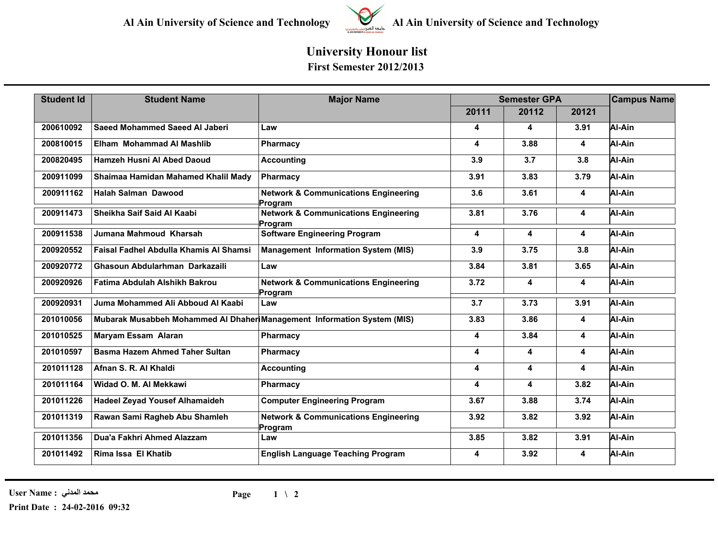

## **University Honour list First Semester 2012/2013**

| <b>Student Id</b> | <b>Student Name</b>                                                      | <b>Major Name</b>                                          | <b>Semester GPA</b> |       |                         | <b>Campus Name</b> |
|-------------------|--------------------------------------------------------------------------|------------------------------------------------------------|---------------------|-------|-------------------------|--------------------|
|                   |                                                                          |                                                            | 20111               | 20112 | 20121                   |                    |
| 200610092         | Saeed Mohammed Saeed Al Jaberi                                           | Law                                                        | 4                   | 4     | 3.91                    | Al-Ain             |
| 200810015         | Elham Mohammad Al Mashlib                                                | Pharmacy                                                   | 4                   | 3.88  | $\overline{\mathbf{4}}$ | Al-Ain             |
| 200820495         | Hamzeh Husni Al Abed Daoud                                               | <b>Accounting</b>                                          | 3.9                 | 3.7   | 3.8                     | Al-Ain             |
| 200911099         | Shaimaa Hamidan Mahamed Khalil Mady                                      | Pharmacy                                                   | 3.91                | 3.83  | 3.79                    | Al-Ain             |
| 200911162         | <b>Halah Salman Dawood</b>                                               | <b>Network &amp; Communications Engineering</b><br>Program | 3.6                 | 3.61  | 4                       | Al-Ain             |
| 200911473         | Sheikha Saif Said Al Kaabi                                               | <b>Network &amp; Communications Engineering</b><br>Program | 3.81                | 3.76  | 4                       | Al-Ain             |
| 200911538         | Jumana Mahmoud Kharsah                                                   | <b>Software Engineering Program</b>                        | 4                   | 4     | 4                       | Al-Ain             |
| 200920552         | <b>Faisal Fadhel Abdulla Khamis Al Shamsi</b>                            | <b>Management Information System (MIS)</b>                 | 3.9                 | 3.75  | 3.8                     | Al-Ain             |
| 200920772         | Ghasoun Abdularhman Darkazaili                                           | Law                                                        | 3.84                | 3.81  | 3.65                    | Al-Ain             |
| 200920926         | Fatima Abdulah Alshikh Bakrou                                            | <b>Network &amp; Communications Engineering</b><br>Program | 3.72                | 4     | 4                       | Al-Ain             |
| 200920931         | Juma Mohammed Ali Abboud Al Kaabi                                        | Law                                                        | 3.7                 | 3.73  | 3.91                    | Al-Ain             |
| 201010056         | Mubarak Musabbeh Mohammed AI Dhaheri Management Information System (MIS) |                                                            | 3.83                | 3.86  | 4                       | Al-Ain             |
| 201010525         | <b>Maryam Essam Alaran</b>                                               | Pharmacy                                                   | 4                   | 3.84  | 4                       | Al-Ain             |
| 201010597         | <b>Basma Hazem Ahmed Taher Sultan</b>                                    | <b>Pharmacy</b>                                            | 4                   | 4     | 4                       | Al-Ain             |
| 201011128         | Afnan S. R. Al Khaldi                                                    | <b>Accounting</b>                                          | 4                   | 4     | 4                       | Al-Ain             |
| 201011164         | Widad O. M. Al Mekkawi                                                   | Pharmacy                                                   | 4                   | 4     | 3.82                    | Al-Ain             |
| 201011226         | <b>Hadeel Zeyad Yousef Alhamaideh</b>                                    | <b>Computer Engineering Program</b>                        | 3.67                | 3.88  | 3.74                    | Al-Ain             |
| 201011319         | Rawan Sami Ragheb Abu Shamleh                                            | <b>Network &amp; Communications Engineering</b><br>Program | 3.92                | 3.82  | 3.92                    | Al-Ain             |
| 201011356         | Dua'a Fakhri Ahmed Alazzam                                               | Law                                                        | 3.85                | 3.82  | 3.91                    | Al-Ain             |
| 201011492         | Rima Issa El Khatib                                                      | <b>English Language Teaching Program</b>                   | 4                   | 3.92  | 4                       | Al-Ain             |